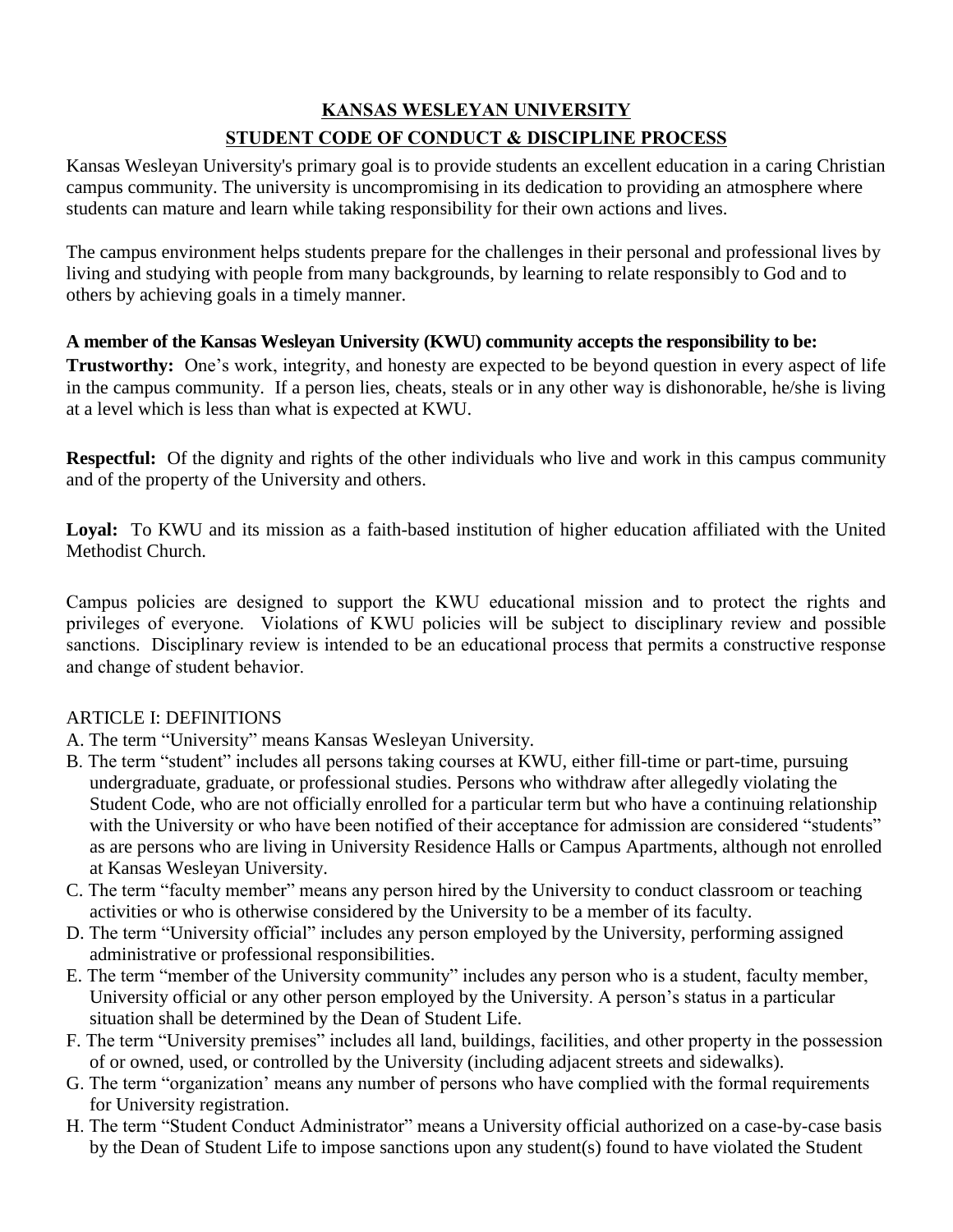# **KANSAS WESLEYAN UNIVERSITY STUDENT CODE OF CONDUCT & DISCIPLINE PROCESS**

Kansas Wesleyan University's primary goal is to provide students an excellent education in a caring Christian campus community. The university is uncompromising in its dedication to providing an atmosphere where students can mature and learn while taking responsibility for their own actions and lives.

The campus environment helps students prepare for the challenges in their personal and professional lives by living and studying with people from many backgrounds, by learning to relate responsibly to God and to others by achieving goals in a timely manner.

# **A member of the Kansas Wesleyan University (KWU) community accepts the responsibility to be:**

**Trustworthy:** One's work, integrity, and honesty are expected to be beyond question in every aspect of life in the campus community. If a person lies, cheats, steals or in any other way is dishonorable, he/she is living at a level which is less than what is expected at KWU.

**Respectful:** Of the dignity and rights of the other individuals who live and work in this campus community and of the property of the University and others.

**Loyal:** To KWU and its mission as a faith-based institution of higher education affiliated with the United Methodist Church.

Campus policies are designed to support the KWU educational mission and to protect the rights and privileges of everyone. Violations of KWU policies will be subject to disciplinary review and possible sanctions. Disciplinary review is intended to be an educational process that permits a constructive response and change of student behavior.

## ARTICLE I: DEFINITIONS

- A. The term "University" means Kansas Wesleyan University.
- B. The term "student" includes all persons taking courses at KWU, either fill-time or part-time, pursuing undergraduate, graduate, or professional studies. Persons who withdraw after allegedly violating the Student Code, who are not officially enrolled for a particular term but who have a continuing relationship with the University or who have been notified of their acceptance for admission are considered "students" as are persons who are living in University Residence Halls or Campus Apartments, although not enrolled at Kansas Wesleyan University.
- C. The term "faculty member" means any person hired by the University to conduct classroom or teaching activities or who is otherwise considered by the University to be a member of its faculty.
- D. The term "University official" includes any person employed by the University, performing assigned administrative or professional responsibilities.
- E. The term "member of the University community" includes any person who is a student, faculty member, University official or any other person employed by the University. A person's status in a particular situation shall be determined by the Dean of Student Life.
- F. The term "University premises" includes all land, buildings, facilities, and other property in the possession of or owned, used, or controlled by the University (including adjacent streets and sidewalks).
- G. The term "organization' means any number of persons who have complied with the formal requirements for University registration.
- H. The term "Student Conduct Administrator" means a University official authorized on a case-by-case basis by the Dean of Student Life to impose sanctions upon any student(s) found to have violated the Student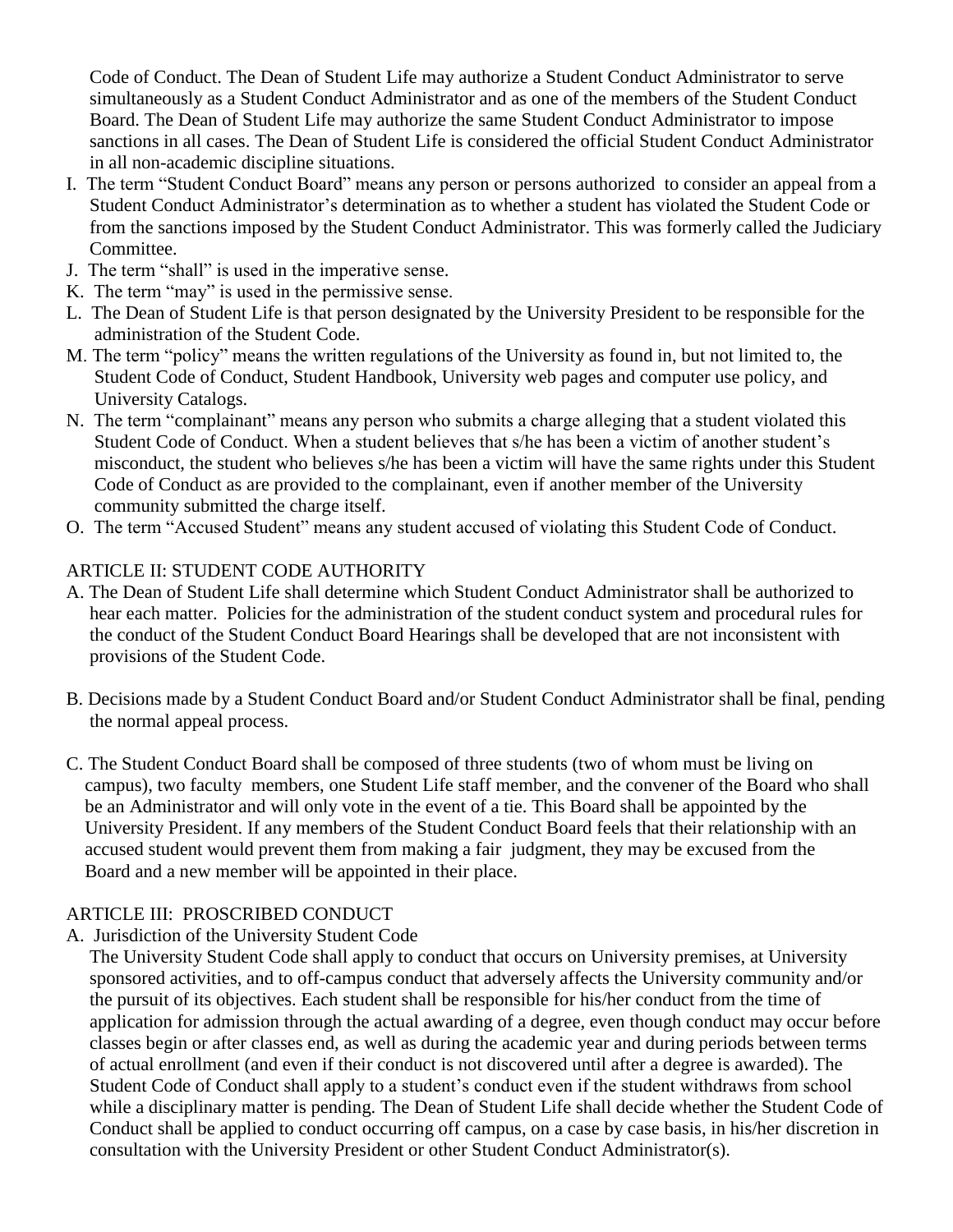Code of Conduct. The Dean of Student Life may authorize a Student Conduct Administrator to serve simultaneously as a Student Conduct Administrator and as one of the members of the Student Conduct Board. The Dean of Student Life may authorize the same Student Conduct Administrator to impose sanctions in all cases. The Dean of Student Life is considered the official Student Conduct Administrator in all non-academic discipline situations.

- I. The term "Student Conduct Board" means any person or persons authorized to consider an appeal from a Student Conduct Administrator's determination as to whether a student has violated the Student Code or from the sanctions imposed by the Student Conduct Administrator. This was formerly called the Judiciary Committee.
- J. The term "shall" is used in the imperative sense.
- K. The term "may" is used in the permissive sense.
- L. The Dean of Student Life is that person designated by the University President to be responsible for the administration of the Student Code.
- M. The term "policy" means the written regulations of the University as found in, but not limited to, the Student Code of Conduct, Student Handbook, University web pages and computer use policy, and University Catalogs.
- N. The term "complainant" means any person who submits a charge alleging that a student violated this Student Code of Conduct. When a student believes that s/he has been a victim of another student's misconduct, the student who believes s/he has been a victim will have the same rights under this Student Code of Conduct as are provided to the complainant, even if another member of the University community submitted the charge itself.
- O. The term "Accused Student" means any student accused of violating this Student Code of Conduct.

## ARTICLE II: STUDENT CODE AUTHORITY

- A. The Dean of Student Life shall determine which Student Conduct Administrator shall be authorized to hear each matter. Policies for the administration of the student conduct system and procedural rules for the conduct of the Student Conduct Board Hearings shall be developed that are not inconsistent with provisions of the Student Code.
- B. Decisions made by a Student Conduct Board and/or Student Conduct Administrator shall be final, pending the normal appeal process.
- C. The Student Conduct Board shall be composed of three students (two of whom must be living on campus), two faculty members, one Student Life staff member, and the convener of the Board who shall be an Administrator and will only vote in the event of a tie. This Board shall be appointed by the University President. If any members of the Student Conduct Board feels that their relationship with an accused student would prevent them from making a fair judgment, they may be excused from the Board and a new member will be appointed in their place.

## ARTICLE III: PROSCRIBED CONDUCT

A. Jurisdiction of the University Student Code

 The University Student Code shall apply to conduct that occurs on University premises, at University sponsored activities, and to off-campus conduct that adversely affects the University community and/or the pursuit of its objectives. Each student shall be responsible for his/her conduct from the time of application for admission through the actual awarding of a degree, even though conduct may occur before classes begin or after classes end, as well as during the academic year and during periods between terms of actual enrollment (and even if their conduct is not discovered until after a degree is awarded). The Student Code of Conduct shall apply to a student's conduct even if the student withdraws from school while a disciplinary matter is pending. The Dean of Student Life shall decide whether the Student Code of Conduct shall be applied to conduct occurring off campus, on a case by case basis, in his/her discretion in consultation with the University President or other Student Conduct Administrator(s).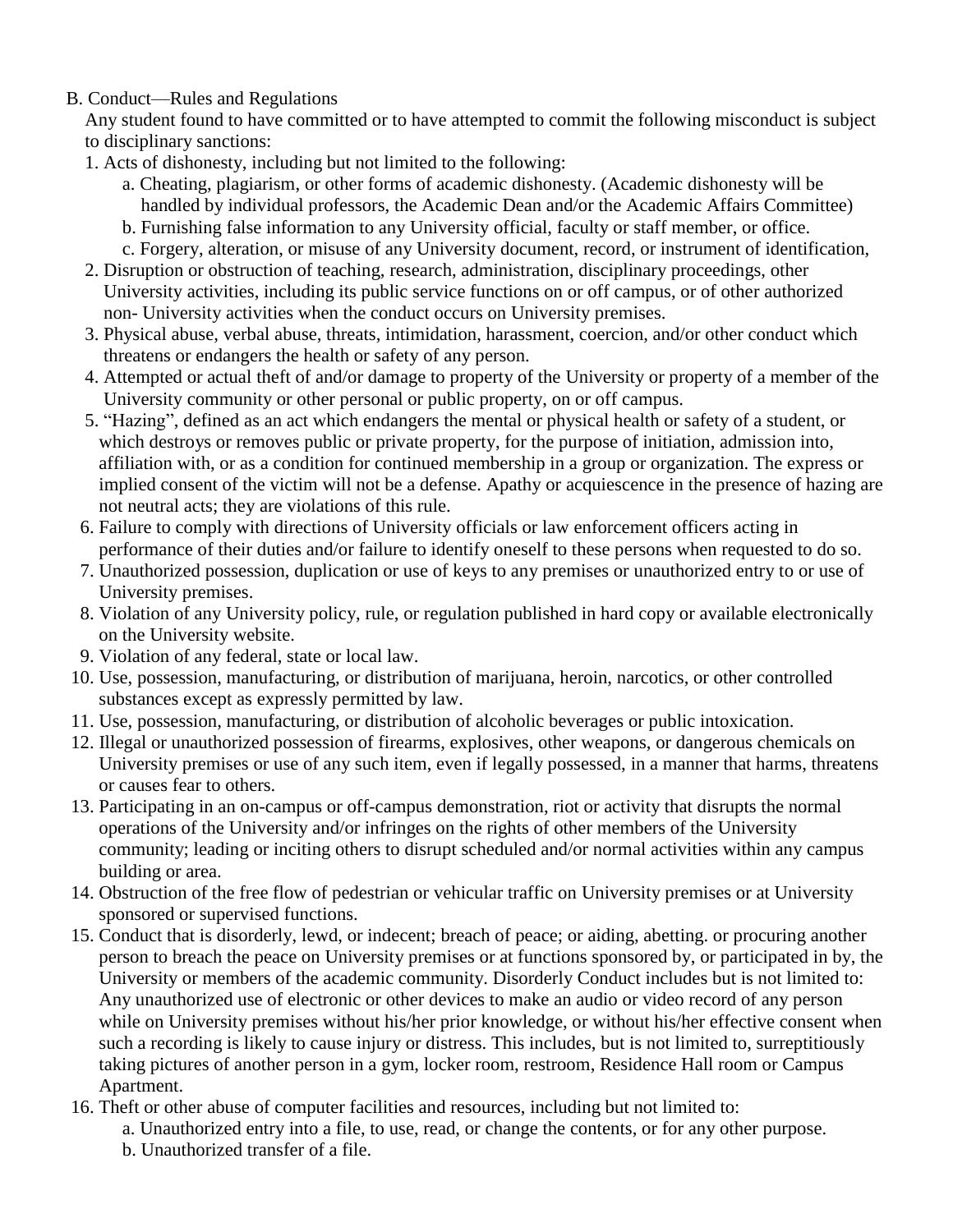## B. Conduct—Rules and Regulations

 Any student found to have committed or to have attempted to commit the following misconduct is subject to disciplinary sanctions:

- 1. Acts of dishonesty, including but not limited to the following:
	- a. Cheating, plagiarism, or other forms of academic dishonesty. (Academic dishonesty will be handled by individual professors, the Academic Dean and/or the Academic Affairs Committee)
	- b. Furnishing false information to any University official, faculty or staff member, or office.
	- c. Forgery, alteration, or misuse of any University document, record, or instrument of identification,
- 2. Disruption or obstruction of teaching, research, administration, disciplinary proceedings, other University activities, including its public service functions on or off campus, or of other authorized non- University activities when the conduct occurs on University premises.
- 3. Physical abuse, verbal abuse, threats, intimidation, harassment, coercion, and/or other conduct which threatens or endangers the health or safety of any person.
- 4. Attempted or actual theft of and/or damage to property of the University or property of a member of the University community or other personal or public property, on or off campus.
- 5. "Hazing", defined as an act which endangers the mental or physical health or safety of a student, or which destroys or removes public or private property, for the purpose of initiation, admission into, affiliation with, or as a condition for continued membership in a group or organization. The express or implied consent of the victim will not be a defense. Apathy or acquiescence in the presence of hazing are not neutral acts; they are violations of this rule.
- 6. Failure to comply with directions of University officials or law enforcement officers acting in performance of their duties and/or failure to identify oneself to these persons when requested to do so.
- 7. Unauthorized possession, duplication or use of keys to any premises or unauthorized entry to or use of University premises.
- 8. Violation of any University policy, rule, or regulation published in hard copy or available electronically on the University website.
- 9. Violation of any federal, state or local law.
- 10. Use, possession, manufacturing, or distribution of marijuana, heroin, narcotics, or other controlled substances except as expressly permitted by law.
- 11. Use, possession, manufacturing, or distribution of alcoholic beverages or public intoxication.
- 12. Illegal or unauthorized possession of firearms, explosives, other weapons, or dangerous chemicals on University premises or use of any such item, even if legally possessed, in a manner that harms, threatens or causes fear to others.
- 13. Participating in an on-campus or off-campus demonstration, riot or activity that disrupts the normal operations of the University and/or infringes on the rights of other members of the University community; leading or inciting others to disrupt scheduled and/or normal activities within any campus building or area.
- 14. Obstruction of the free flow of pedestrian or vehicular traffic on University premises or at University sponsored or supervised functions.
- 15. Conduct that is disorderly, lewd, or indecent; breach of peace; or aiding, abetting. or procuring another person to breach the peace on University premises or at functions sponsored by, or participated in by, the University or members of the academic community. Disorderly Conduct includes but is not limited to: Any unauthorized use of electronic or other devices to make an audio or video record of any person while on University premises without his/her prior knowledge, or without his/her effective consent when such a recording is likely to cause injury or distress. This includes, but is not limited to, surreptitiously taking pictures of another person in a gym, locker room, restroom, Residence Hall room or Campus Apartment.
- 16. Theft or other abuse of computer facilities and resources, including but not limited to:
	- a. Unauthorized entry into a file, to use, read, or change the contents, or for any other purpose.
	- b. Unauthorized transfer of a file.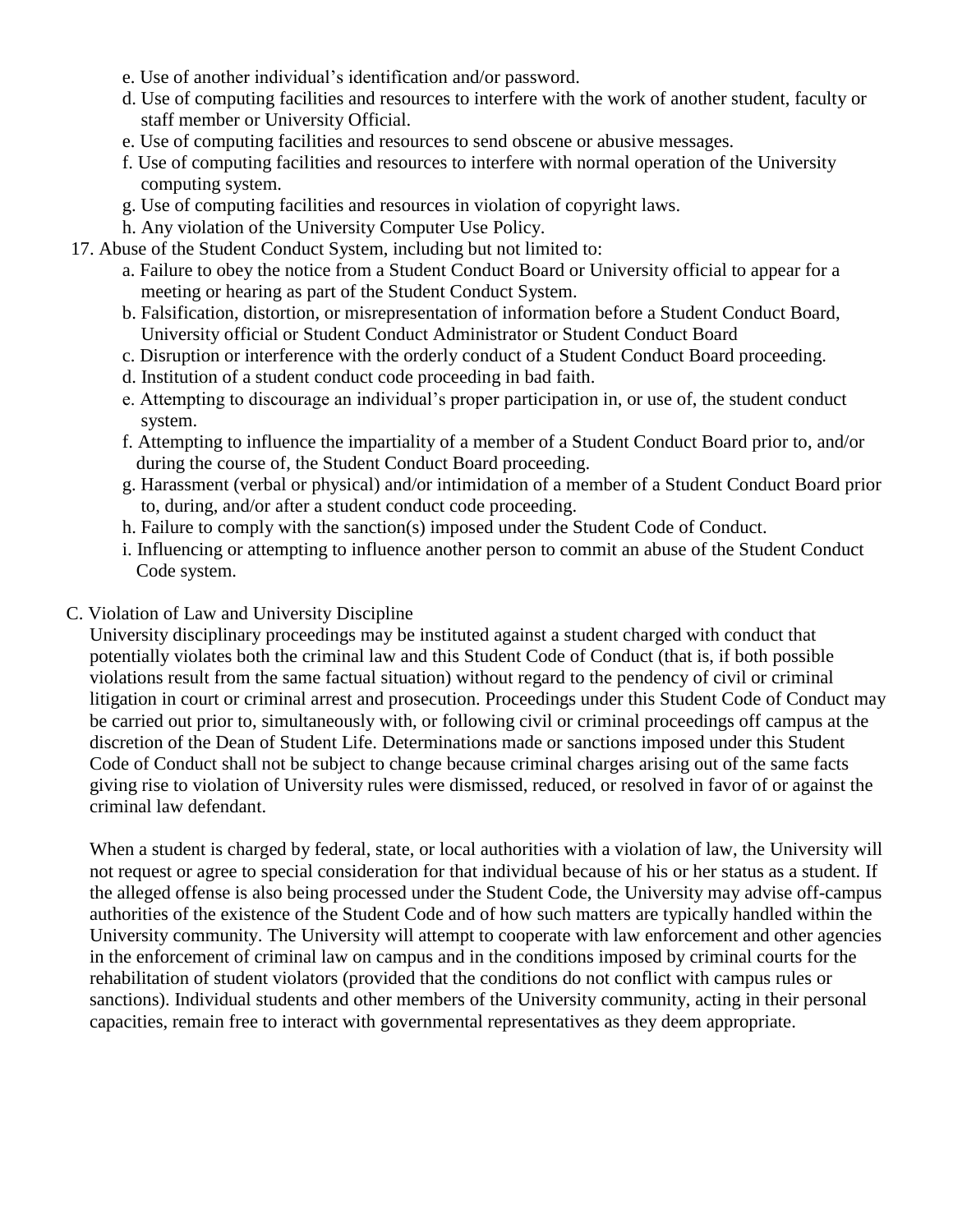- e. Use of another individual's identification and/or password.
- d. Use of computing facilities and resources to interfere with the work of another student, faculty or staff member or University Official.
- e. Use of computing facilities and resources to send obscene or abusive messages.
- f. Use of computing facilities and resources to interfere with normal operation of the University computing system.
- g. Use of computing facilities and resources in violation of copyright laws.
- h. Any violation of the University Computer Use Policy.
- 17. Abuse of the Student Conduct System, including but not limited to:
	- a. Failure to obey the notice from a Student Conduct Board or University official to appear for a meeting or hearing as part of the Student Conduct System.
	- b. Falsification, distortion, or misrepresentation of information before a Student Conduct Board, University official or Student Conduct Administrator or Student Conduct Board
	- c. Disruption or interference with the orderly conduct of a Student Conduct Board proceeding.
	- d. Institution of a student conduct code proceeding in bad faith.
	- e. Attempting to discourage an individual's proper participation in, or use of, the student conduct system.
	- f. Attempting to influence the impartiality of a member of a Student Conduct Board prior to, and/or during the course of, the Student Conduct Board proceeding.
	- g. Harassment (verbal or physical) and/or intimidation of a member of a Student Conduct Board prior to, during, and/or after a student conduct code proceeding.
	- h. Failure to comply with the sanction(s) imposed under the Student Code of Conduct.
	- i. Influencing or attempting to influence another person to commit an abuse of the Student Conduct Code system.

#### C. Violation of Law and University Discipline

 University disciplinary proceedings may be instituted against a student charged with conduct that potentially violates both the criminal law and this Student Code of Conduct (that is, if both possible violations result from the same factual situation) without regard to the pendency of civil or criminal litigation in court or criminal arrest and prosecution. Proceedings under this Student Code of Conduct may be carried out prior to, simultaneously with, or following civil or criminal proceedings off campus at the discretion of the Dean of Student Life. Determinations made or sanctions imposed under this Student Code of Conduct shall not be subject to change because criminal charges arising out of the same facts giving rise to violation of University rules were dismissed, reduced, or resolved in favor of or against the criminal law defendant.

 When a student is charged by federal, state, or local authorities with a violation of law, the University will not request or agree to special consideration for that individual because of his or her status as a student. If the alleged offense is also being processed under the Student Code, the University may advise off-campus authorities of the existence of the Student Code and of how such matters are typically handled within the University community. The University will attempt to cooperate with law enforcement and other agencies in the enforcement of criminal law on campus and in the conditions imposed by criminal courts for the rehabilitation of student violators (provided that the conditions do not conflict with campus rules or sanctions). Individual students and other members of the University community, acting in their personal capacities, remain free to interact with governmental representatives as they deem appropriate.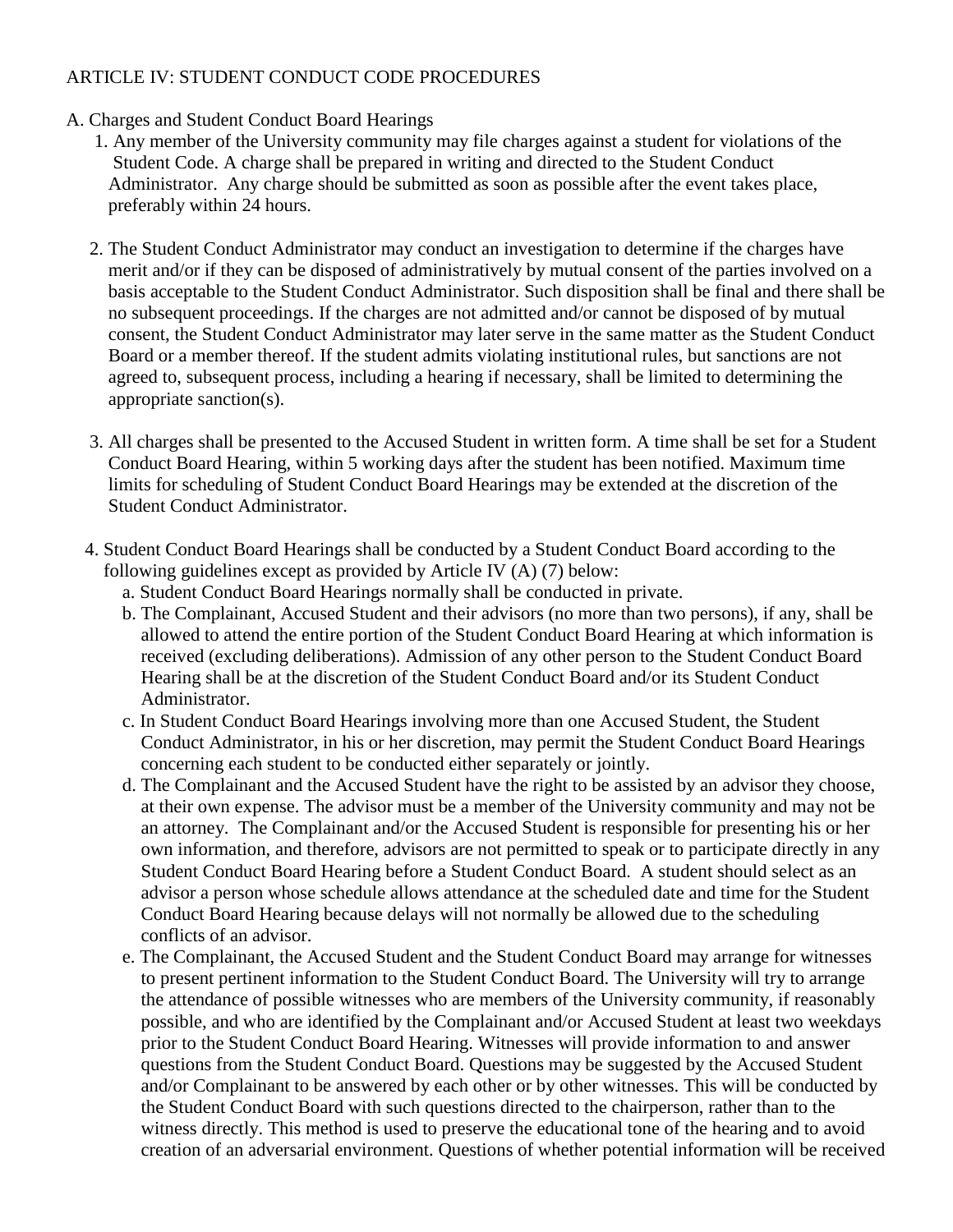### ARTICLE IV: STUDENT CONDUCT CODE PROCEDURES

### A. Charges and Student Conduct Board Hearings

- 1. Any member of the University community may file charges against a student for violations of the Student Code. A charge shall be prepared in writing and directed to the Student Conduct Administrator. Any charge should be submitted as soon as possible after the event takes place, preferably within 24 hours.
- 2. The Student Conduct Administrator may conduct an investigation to determine if the charges have merit and/or if they can be disposed of administratively by mutual consent of the parties involved on a basis acceptable to the Student Conduct Administrator. Such disposition shall be final and there shall be no subsequent proceedings. If the charges are not admitted and/or cannot be disposed of by mutual consent, the Student Conduct Administrator may later serve in the same matter as the Student Conduct Board or a member thereof. If the student admits violating institutional rules, but sanctions are not agreed to, subsequent process, including a hearing if necessary, shall be limited to determining the appropriate sanction(s).
- 3. All charges shall be presented to the Accused Student in written form. A time shall be set for a Student Conduct Board Hearing, within 5 working days after the student has been notified. Maximum time limits for scheduling of Student Conduct Board Hearings may be extended at the discretion of the Student Conduct Administrator.
- 4. Student Conduct Board Hearings shall be conducted by a Student Conduct Board according to the following guidelines except as provided by Article IV (A) (7) below:
	- a. Student Conduct Board Hearings normally shall be conducted in private.
	- b. The Complainant, Accused Student and their advisors (no more than two persons), if any, shall be allowed to attend the entire portion of the Student Conduct Board Hearing at which information is received (excluding deliberations). Admission of any other person to the Student Conduct Board Hearing shall be at the discretion of the Student Conduct Board and/or its Student Conduct Administrator.
	- c. In Student Conduct Board Hearings involving more than one Accused Student, the Student Conduct Administrator, in his or her discretion, may permit the Student Conduct Board Hearings concerning each student to be conducted either separately or jointly.
	- d. The Complainant and the Accused Student have the right to be assisted by an advisor they choose, at their own expense. The advisor must be a member of the University community and may not be an attorney. The Complainant and/or the Accused Student is responsible for presenting his or her own information, and therefore, advisors are not permitted to speak or to participate directly in any Student Conduct Board Hearing before a Student Conduct Board. A student should select as an advisor a person whose schedule allows attendance at the scheduled date and time for the Student Conduct Board Hearing because delays will not normally be allowed due to the scheduling conflicts of an advisor.
	- e. The Complainant, the Accused Student and the Student Conduct Board may arrange for witnesses to present pertinent information to the Student Conduct Board. The University will try to arrange the attendance of possible witnesses who are members of the University community, if reasonably possible, and who are identified by the Complainant and/or Accused Student at least two weekdays prior to the Student Conduct Board Hearing. Witnesses will provide information to and answer questions from the Student Conduct Board. Questions may be suggested by the Accused Student and/or Complainant to be answered by each other or by other witnesses. This will be conducted by the Student Conduct Board with such questions directed to the chairperson, rather than to the witness directly. This method is used to preserve the educational tone of the hearing and to avoid creation of an adversarial environment. Questions of whether potential information will be received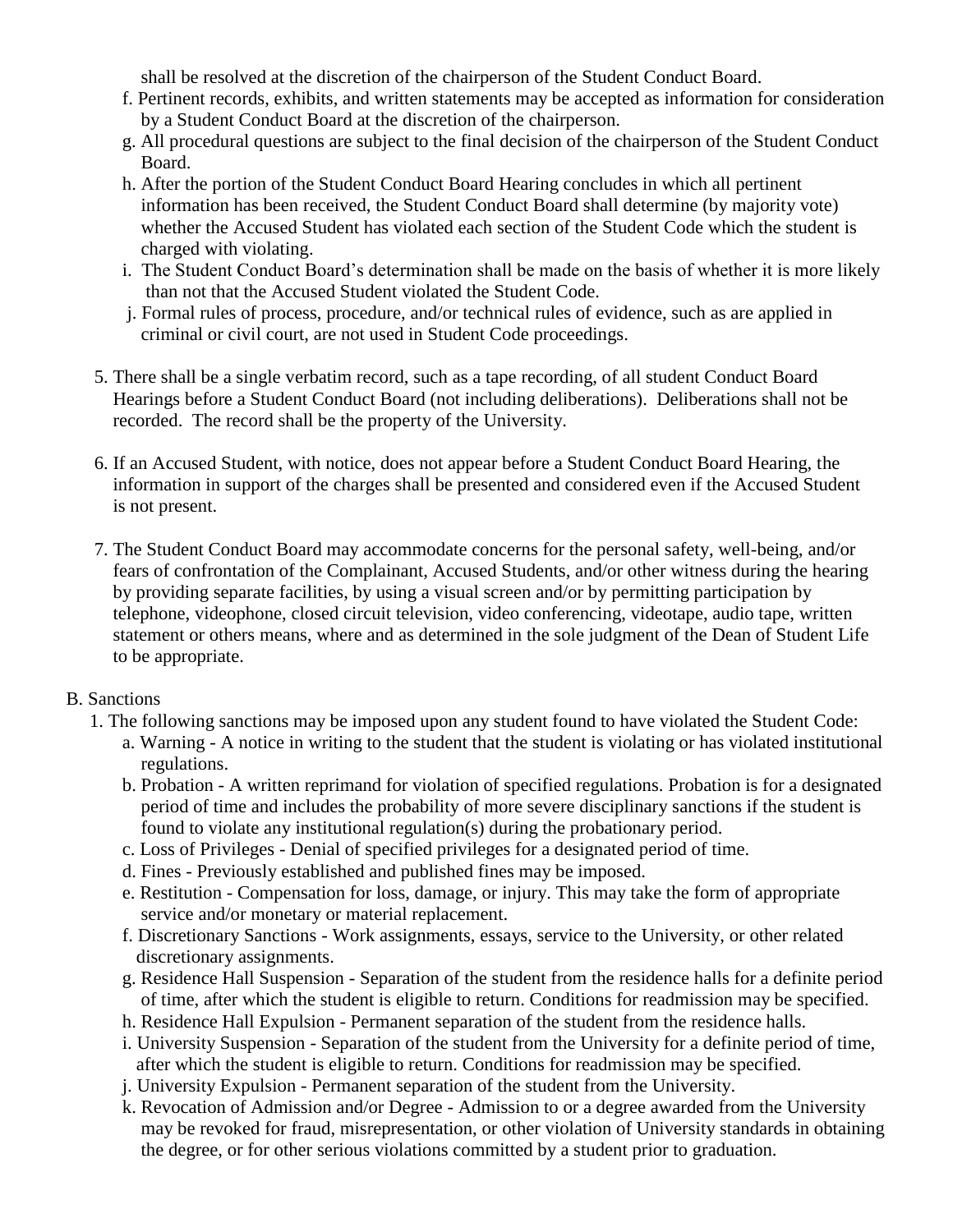shall be resolved at the discretion of the chairperson of the Student Conduct Board.

- f. Pertinent records, exhibits, and written statements may be accepted as information for consideration by a Student Conduct Board at the discretion of the chairperson.
- g. All procedural questions are subject to the final decision of the chairperson of the Student Conduct Board.
- h. After the portion of the Student Conduct Board Hearing concludes in which all pertinent information has been received, the Student Conduct Board shall determine (by majority vote) whether the Accused Student has violated each section of the Student Code which the student is charged with violating.
- i. The Student Conduct Board's determination shall be made on the basis of whether it is more likely than not that the Accused Student violated the Student Code.
- j. Formal rules of process, procedure, and/or technical rules of evidence, such as are applied in criminal or civil court, are not used in Student Code proceedings.
- 5. There shall be a single verbatim record, such as a tape recording, of all student Conduct Board Hearings before a Student Conduct Board (not including deliberations). Deliberations shall not be recorded. The record shall be the property of the University.
- 6. If an Accused Student, with notice, does not appear before a Student Conduct Board Hearing, the information in support of the charges shall be presented and considered even if the Accused Student is not present.
- 7. The Student Conduct Board may accommodate concerns for the personal safety, well-being, and/or fears of confrontation of the Complainant, Accused Students, and/or other witness during the hearing by providing separate facilities, by using a visual screen and/or by permitting participation by telephone, videophone, closed circuit television, video conferencing, videotape, audio tape, written statement or others means, where and as determined in the sole judgment of the Dean of Student Life to be appropriate.

### B. Sanctions

- 1. The following sanctions may be imposed upon any student found to have violated the Student Code:
	- a. Warning A notice in writing to the student that the student is violating or has violated institutional regulations.
	- b. Probation A written reprimand for violation of specified regulations. Probation is for a designated period of time and includes the probability of more severe disciplinary sanctions if the student is found to violate any institutional regulation(s) during the probationary period.
	- c. Loss of Privileges Denial of specified privileges for a designated period of time.
	- d. Fines Previously established and published fines may be imposed.
	- e. Restitution Compensation for loss, damage, or injury. This may take the form of appropriate service and/or monetary or material replacement.
	- f. Discretionary Sanctions Work assignments, essays, service to the University, or other related discretionary assignments.
	- g. Residence Hall Suspension Separation of the student from the residence halls for a definite period of time, after which the student is eligible to return. Conditions for readmission may be specified.
	- h. Residence Hall Expulsion Permanent separation of the student from the residence halls.
	- i. University Suspension Separation of the student from the University for a definite period of time, after which the student is eligible to return. Conditions for readmission may be specified.
	- j. University Expulsion Permanent separation of the student from the University.
	- k. Revocation of Admission and/or Degree Admission to or a degree awarded from the University may be revoked for fraud, misrepresentation, or other violation of University standards in obtaining the degree, or for other serious violations committed by a student prior to graduation.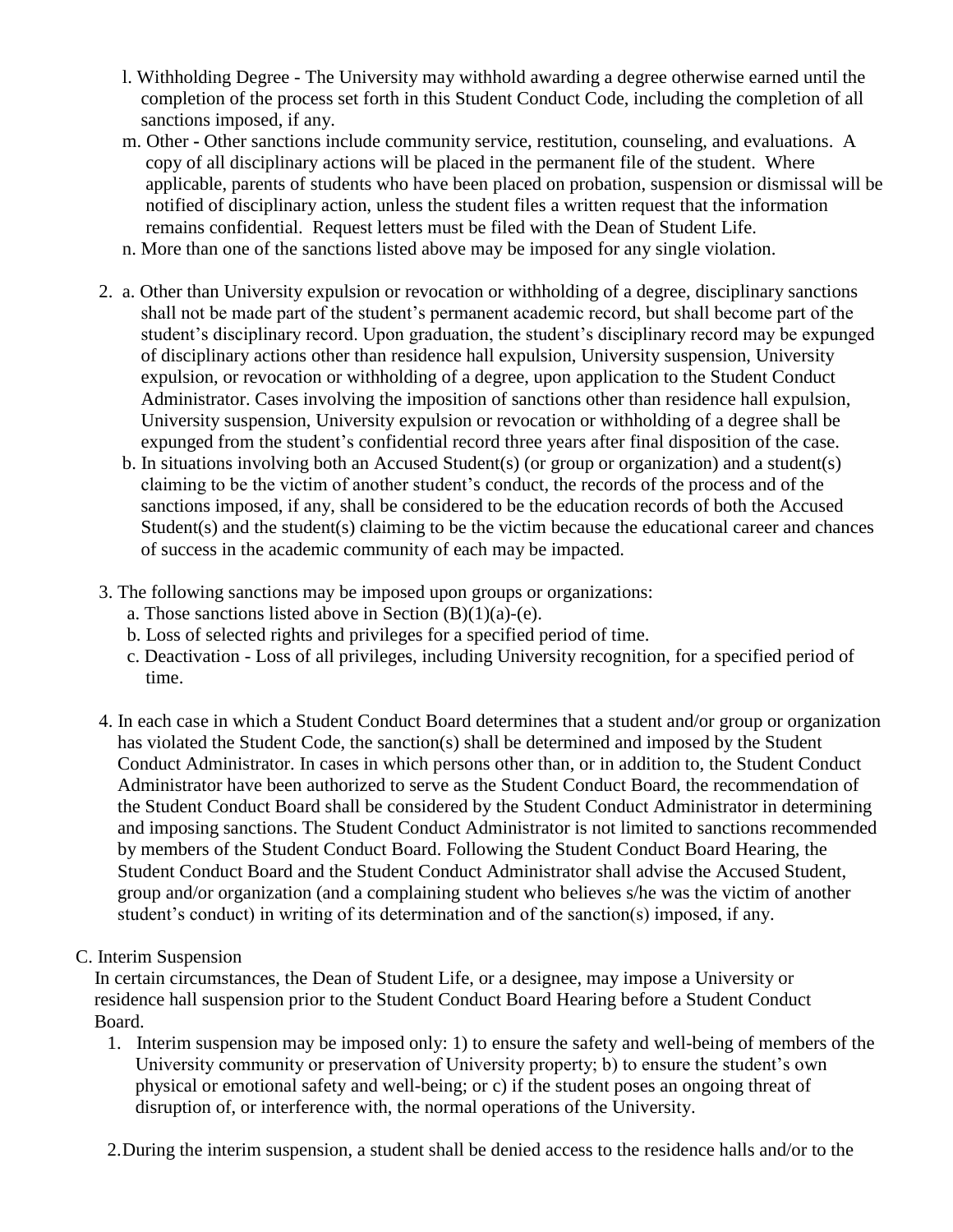- l. Withholding Degree The University may withhold awarding a degree otherwise earned until the completion of the process set forth in this Student Conduct Code, including the completion of all sanctions imposed, if any.
- m. Other **-** Other sanctions include community service, restitution, counseling, and evaluations. A copy of all disciplinary actions will be placed in the permanent file of the student. Where applicable, parents of students who have been placed on probation, suspension or dismissal will be notified of disciplinary action, unless the student files a written request that the information remains confidential. Request letters must be filed with the Dean of Student Life.
- n. More than one of the sanctions listed above may be imposed for any single violation.
- 2. a. Other than University expulsion or revocation or withholding of a degree, disciplinary sanctions shall not be made part of the student's permanent academic record, but shall become part of the student's disciplinary record. Upon graduation, the student's disciplinary record may be expunged of disciplinary actions other than residence hall expulsion, University suspension, University expulsion, or revocation or withholding of a degree, upon application to the Student Conduct Administrator. Cases involving the imposition of sanctions other than residence hall expulsion, University suspension, University expulsion or revocation or withholding of a degree shall be expunged from the student's confidential record three years after final disposition of the case.
	- b. In situations involving both an Accused Student(s) (or group or organization) and a student(s) claiming to be the victim of another student's conduct, the records of the process and of the sanctions imposed, if any, shall be considered to be the education records of both the Accused Student(s) and the student(s) claiming to be the victim because the educational career and chances of success in the academic community of each may be impacted.
- 3. The following sanctions may be imposed upon groups or organizations:
	- a. Those sanctions listed above in Section  $(B)(1)(a)-(e)$ .
	- b. Loss of selected rights and privileges for a specified period of time.
	- c. Deactivation Loss of all privileges, including University recognition, for a specified period of time.
- 4. In each case in which a Student Conduct Board determines that a student and/or group or organization has violated the Student Code, the sanction(s) shall be determined and imposed by the Student Conduct Administrator. In cases in which persons other than, or in addition to, the Student Conduct Administrator have been authorized to serve as the Student Conduct Board, the recommendation of the Student Conduct Board shall be considered by the Student Conduct Administrator in determining and imposing sanctions. The Student Conduct Administrator is not limited to sanctions recommended by members of the Student Conduct Board. Following the Student Conduct Board Hearing, the Student Conduct Board and the Student Conduct Administrator shall advise the Accused Student, group and/or organization (and a complaining student who believes s/he was the victim of another student's conduct) in writing of its determination and of the sanction(s) imposed, if any.
- C. Interim Suspension

 In certain circumstances, the Dean of Student Life, or a designee, may impose a University or residence hall suspension prior to the Student Conduct Board Hearing before a Student Conduct Board.

- 1. Interim suspension may be imposed only: 1) to ensure the safety and well-being of members of the University community or preservation of University property; b) to ensure the student's own physical or emotional safety and well-being; or c) if the student poses an ongoing threat of disruption of, or interference with, the normal operations of the University.
- 2.During the interim suspension, a student shall be denied access to the residence halls and/or to the